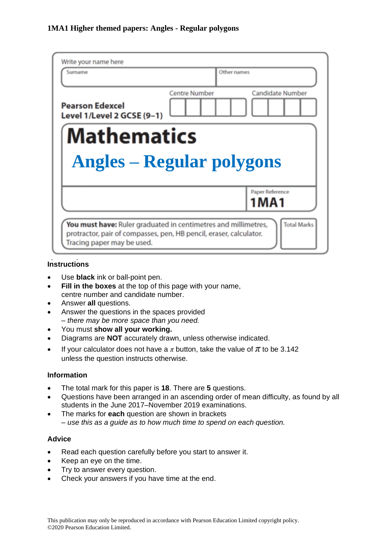| Write your name here                                 |                                                 |
|------------------------------------------------------|-------------------------------------------------|
| Surname                                              | Other names                                     |
| <b>Pearson Edexcel</b><br>Level 1/Level 2 GCSE (9-1) | <b>Candidate Number</b><br><b>Centre Number</b> |
| <b>Mathematics</b>                                   |                                                 |
| <b>Angles – Regular polygons</b>                     |                                                 |
|                                                      |                                                 |
|                                                      | Paper Reference                                 |
|                                                      | 1 M A 1                                         |

## **Instructions**

- Use **black** ink or ball-point pen.
- **Fill in the boxes** at the top of this page with your name, centre number and candidate number.
- Answer **all** questions.
- Answer the questions in the spaces provided *– there may be more space than you need.*
- You must **show all your working.**
- Diagrams are **NOT** accurately drawn, unless otherwise indicated.
- If your calculator does not have a  $\pi$  button, take the value of  $\pi$  to be 3.142 unless the question instructs otherwise.

#### **Information**

- The total mark for this paper is **18**. There are **5** questions.
- Questions have been arranged in an ascending order of mean difficulty, as found by all students in the June 2017–November 2019 examinations.
- The marks for **each** question are shown in brackets *– use this as a guide as to how much time to spend on each question.*

#### **Advice**

- Read each question carefully before you start to answer it.
- Keep an eye on the time.
- Try to answer every question.
- Check your answers if you have time at the end.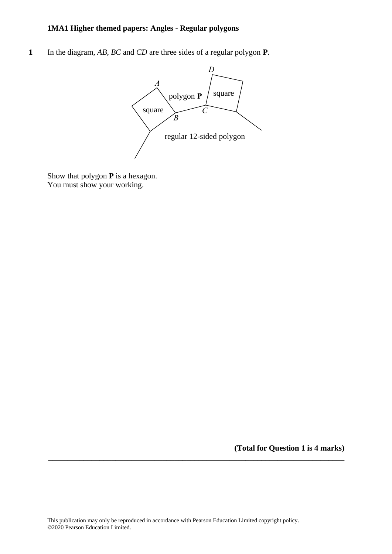### **1MA1 Higher themed papers: Angles - Regular polygons**

**1** In the diagram, *AB*, *BC* and *CD* are three sides of a regular polygon **P**. **5** In the diagram, *AB*, *BC* and *CD* are three sides of <sup>a</sup> regular polygon **P**.



Show that polygon **P** is a hexagon. Show that polygon **P** is <sup>a</sup> hexagon. You must show your working. You must show your working.

**(Total for Question 1 is 4 marks)**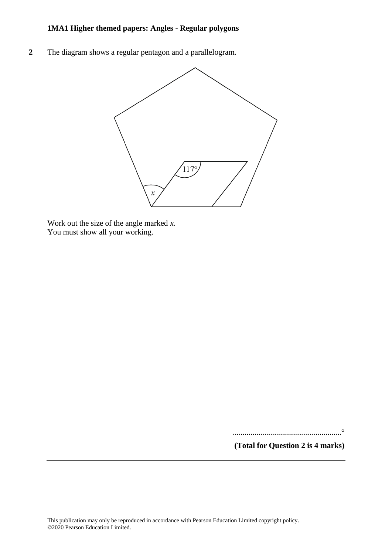### **1MA1 Higher themed papers: Angles - Regular polygons**

**2** The diagram shows a regular pentagon and a parallelogram.



Work out the size of the angle marked *x*. You must show all your working.

.......................................................°

**(Total for Question 2 is 4 marks)**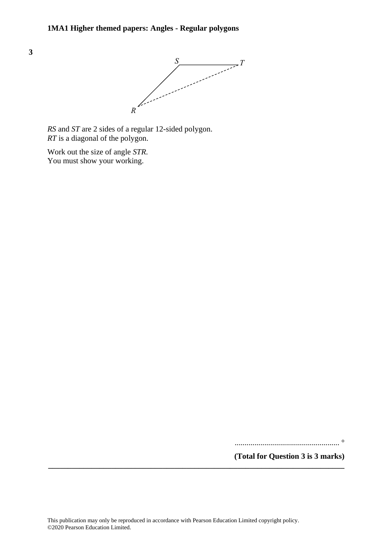

*RS* and *ST* are 2 sides of a regular 12-sided polygon. *RT* is a diagonal of the polygon.

Work out the size of angle *STR*. *STR* You must show your working.

..................................................... °

**(Total for Question 3 is 3 marks)**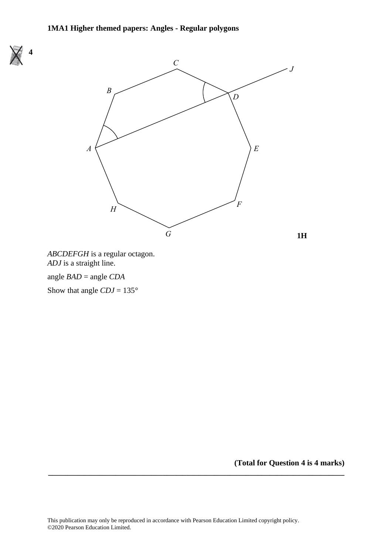

*ABCDEFGH* is a regular octagon. *ABCDEFGH* is a regular octagon. *ADJ* is a straight line. *ADJ* is a straight line.

# angle *BAD* = angle *CDA* angle *BAD* = angle *CDA*

**4**

**6**

Show that angle *CDJ* = 135° Show that angle *CDJ* = 135°

**(Total for Question 4 is 4 marks)**